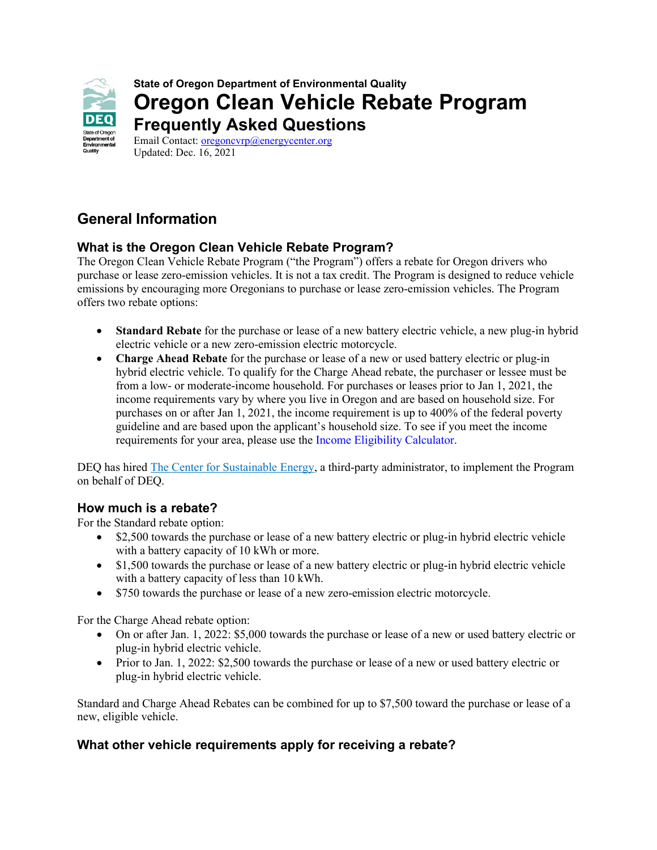

**State of Oregon Department of Environmental Quality Oregon Clean Vehicle Rebate Program Frequently Asked Questions**

Email Contact: oregoncyrp@energycenter.org Updated: Dec. 16, 2021

# **General Information**

## **What is the Oregon Clean Vehicle Rebate Program?**

The Oregon Clean Vehicle Rebate Program ("the Program") offers a rebate for Oregon drivers who purchase or lease zero-emission vehicles. It is not a tax credit. The Program is designed to reduce vehicle emissions by encouraging more Oregonians to purchase or lease zero-emission vehicles. The Program offers two rebate options:

- **Standard Rebate** for the purchase or lease of a new battery electric vehicle, a new plug-in hybrid electric vehicle or a new zero-emission electric motorcycle.
- **Charge Ahead Rebate** for the purchase or lease of a new or used battery electric or plug-in hybrid electric vehicle. To qualify for the Charge Ahead rebate, the purchaser or lessee must be from a low- or moderate-income household. For purchases or leases prior to Jan 1, 2021, the income requirements vary by where you live in Oregon and are based on household size. For purchases on or after Jan 1, 2021, the income requirement is up to 400% of the federal poverty guideline and are based upon the applicant's household size. To see if you meet the income requirements for your area, please use the [Income Eligibility Calculator.](https://www.deq.state.or.us/ocvrp)

DEQ has hired [The Center for Sustainable Energy,](https://www.evrebate.oregon.gov/) a third-party administrator, to implement the Program on behalf of DEQ.

## **How much is a rebate?**

For the Standard rebate option:

- \$2,500 towards the purchase or lease of a new battery electric or plug-in hybrid electric vehicle with a battery capacity of 10 kWh or more.
- \$1,500 towards the purchase or lease of a new battery electric or plug-in hybrid electric vehicle with a battery capacity of less than 10 kWh.
- \$750 towards the purchase or lease of a new zero-emission electric motorcycle.

For the Charge Ahead rebate option:

- On or after Jan. 1, 2022: \$5,000 towards the purchase or lease of a new or used battery electric or plug-in hybrid electric vehicle.
- Prior to Jan. 1, 2022: \$2,500 towards the purchase or lease of a new or used battery electric or plug-in hybrid electric vehicle.

Standard and Charge Ahead Rebates can be combined for up to \$7,500 toward the purchase or lease of a new, eligible vehicle.

## **What other vehicle requirements apply for receiving a rebate?**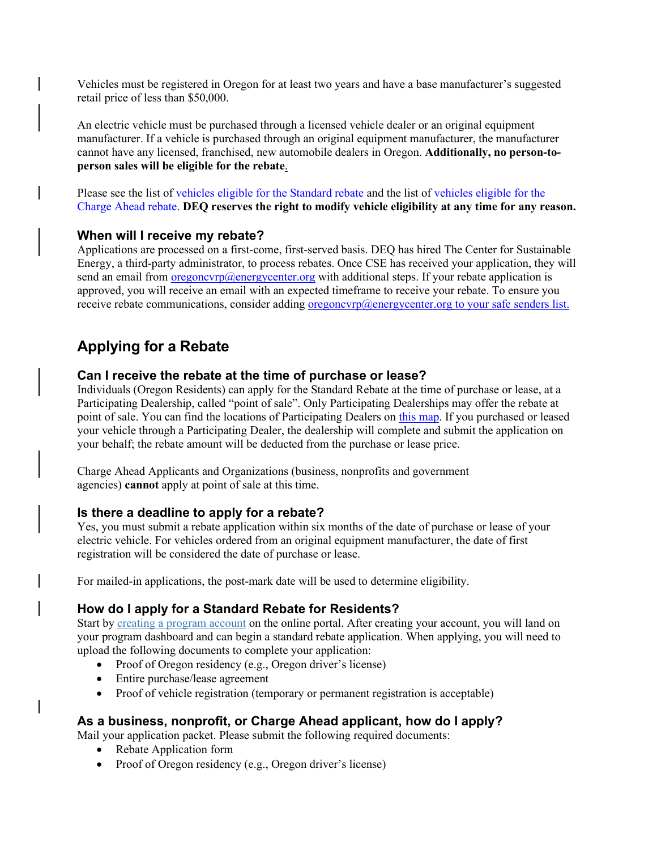Vehicles must be registered in Oregon for at least two years and have a base manufacturer's suggested retail price of less than \$50,000.

An electric vehicle must be purchased through a licensed vehicle dealer or an original equipment manufacturer. If a vehicle is purchased through an original equipment manufacturer, the manufacturer cannot have any licensed, franchised, new automobile dealers in Oregon. **Additionally, no person-toperson sales will be eligible for the rebate**.

Please see the list of [vehicles eligible for the Standard rebate](https://www.oregon.gov/deq/FilterDocs/EV-StandardRebatevehicles.pdf) and the list of [vehicles eligible for the](https://www.oregon.gov/deq/FilterDocs/EV-ChargeAheadRebatevehicles.pdf)  [Charge Ahead rebate.](https://www.oregon.gov/deq/FilterDocs/EV-ChargeAheadRebatevehicles.pdf) **DEQ reserves the right to modify vehicle eligibility at any time for any reason.**

### **When will I receive my rebate?**

Applications are processed on a first-come, first-served basis. DEQ has hired The Center for Sustainable Energy, a third-party administrator, to process rebates. Once CSE has received your application, they will send an email from <u>[oregoncvrp@energycenter.org](mailto:oregoncvrp@energycenter.org)</u> with additional steps. If your rebate application is approved, you will receive an email with an expected timeframe to receive your rebate. To ensure you receive rebate communications, consider adding oregoncyrp@energycenter.org to your safe senders list.

# **Applying for a Rebate**

### **Can I receive the rebate at the time of purchase or lease?**

Individuals (Oregon Residents) can apply for the Standard Rebate at the time of purchase or lease, at a Participating Dealership, called "point of sale". Only Participating Dealerships may offer the rebate at point of sale. You can find the locations of Participating Dealers on [this map.](https://geo.maps.arcgis.com/apps/MapJournal/index.html?appid=8f6081cf57974d4cbb398c629b8003d2) If you purchased or leased your vehicle through a Participating Dealer, the dealership will complete and submit the application on your behalf; the rebate amount will be deducted from the purchase or lease price.

Charge Ahead Applicants and Organizations (business, nonprofits and government agencies) **cannot** apply at point of sale at this time.

## **Is there a deadline to apply for a rebate?**

Yes, you must submit a rebate application within six months of the date of purchase or lease of your electric vehicle. For vehicles ordered from an original equipment manufacturer, the date of first registration will be considered the date of purchase or lease.

For mailed-in applications, the post-mark date will be used to determine eligibility.

## **How do I apply for a Standard Rebate for Residents?**

Start by [creating a program account](https://apply.evrebate.oregon.gov/) on the online portal. After creating your account, you will land on your program dashboard and can begin a standard rebate application. When applying, you will need to upload the following documents to complete your application:

- Proof of Oregon residency (e.g., Oregon driver's license)
- Entire purchase/lease agreement
- Proof of vehicle registration (temporary or permanent registration is acceptable)

## **As a business, nonprofit, or Charge Ahead applicant, how do I apply?**

Mail your application packet. Please submit the following required documents:

- Rebate Application form
- Proof of Oregon residency (e.g., Oregon driver's license)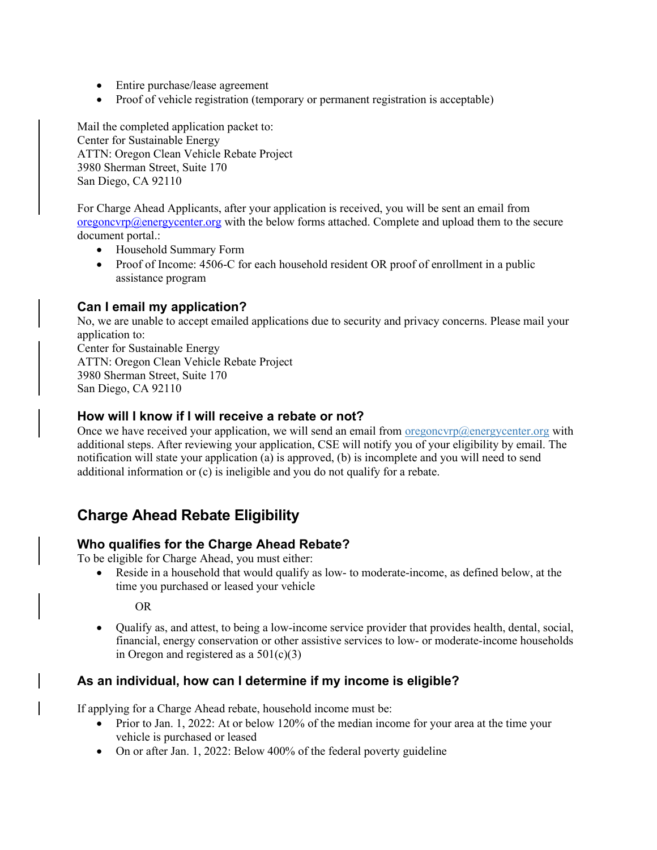- Entire purchase/lease agreement
- Proof of vehicle registration (temporary or permanent registration is acceptable)

Mail the completed application packet to: Center for Sustainable Energy ATTN: Oregon Clean Vehicle Rebate Project 3980 Sherman Street, Suite 170 San Diego, CA 92110

For Charge Ahead Applicants, after your application is received, you will be sent an email from  $o$ regoncvrp@energycenter.org with the below forms attached. Complete and upload them to the secure document portal.:

- Household Summary Form
- Proof of Income: 4506-C for each household resident OR proof of enrollment in a public assistance program

## **Can I email my application?**

No, we are unable to accept emailed applications due to security and privacy concerns. Please mail your application to: Center for Sustainable Energy ATTN: Oregon Clean Vehicle Rebate Project 3980 Sherman Street, Suite 170 San Diego, CA 92110

### **How will I know if I will receive a rebate or not?**

Once we have received your application, we will send an email from  $\sigma$ regoncvrp@energycenter.org with additional steps. After reviewing your application, CSE will notify you of your eligibility by email. The notification will state your application (a) is approved, (b) is incomplete and you will need to send additional information or (c) is ineligible and you do not qualify for a rebate.

# **Charge Ahead Rebate Eligibility**

## **Who qualifies for the Charge Ahead Rebate?**

To be eligible for Charge Ahead, you must either:

• Reside in a household that would qualify as low- to moderate-income, as defined below, at the time you purchased or leased your vehicle

OR

• Qualify as, and attest, to being a low-income service provider that provides health, dental, social, financial, energy conservation or other assistive services to low- or moderate-income households in Oregon and registered as a  $501(c)(3)$ 

## **As an individual, how can I determine if my income is eligible?**

If applying for a Charge Ahead rebate, household income must be:

- Prior to Jan. 1, 2022: At or below 120% of the median income for your area at the time your vehicle is purchased or leased
- On or after Jan. 1, 2022: Below 400% of the federal poverty guideline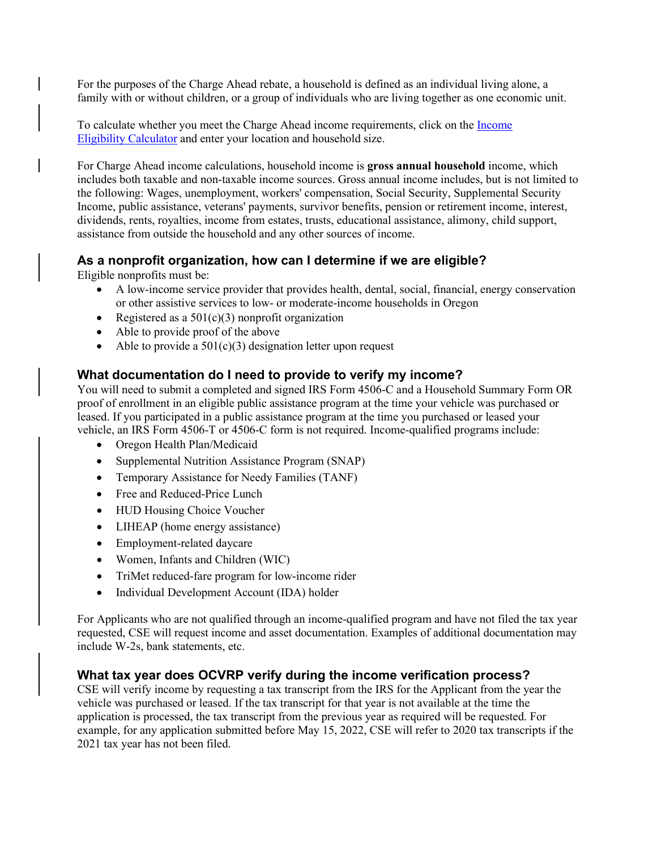For the purposes of the Charge Ahead rebate, a household is defined as an individual living alone, a family with or without children, or a group of individuals who are living together as one economic unit.

To calculate whether you meet the Charge Ahead income requirements, click on the [Income](https://www.deq.state.or.us/ocvrp)  Eligibility [Calculator](https://www.deq.state.or.us/ocvrp) and enter your location and household size.

For Charge Ahead income calculations, household income is **gross annual household** income, which includes both taxable and non-taxable income sources. Gross annual income includes, but is not limited to the following: Wages, unemployment, workers' compensation, Social Security, Supplemental Security Income, public assistance, veterans' payments, survivor benefits, pension or retirement income, interest, dividends, rents, royalties, income from estates, trusts, educational assistance, alimony, child support, assistance from outside the household and any other sources of income.

### **As a nonprofit organization, how can I determine if we are eligible?**

Eligible nonprofits must be:

- A low-income service provider that provides health, dental, social, financial, energy conservation or other assistive services to low- or moderate-income households in Oregon
- Registered as a  $501(c)(3)$  nonprofit organization
- Able to provide proof of the above
- Able to provide a  $501(c)(3)$  designation letter upon request

#### **What documentation do I need to provide to verify my income?**

You will need to submit a completed and signed IRS Form 4506-C and a Household Summary Form OR proof of enrollment in an eligible public assistance program at the time your vehicle was purchased or leased. If you participated in a public assistance program at the time you purchased or leased your vehicle, an IRS Form 4506-T or 4506-C form is not required. Income-qualified programs include:

- Oregon Health Plan/Medicaid
- Supplemental Nutrition Assistance Program (SNAP)
- Temporary Assistance for Needy Families (TANF)
- Free and Reduced-Price Lunch
- HUD Housing Choice Voucher
- LIHEAP (home energy assistance)
- Employment-related daycare
- Women, Infants and Children (WIC)
- TriMet reduced-fare program for low-income rider
- Individual Development Account (IDA) holder

For Applicants who are not qualified through an income-qualified program and have not filed the tax year requested, CSE will request income and asset documentation. Examples of additional documentation may include W-2s, bank statements, etc.

#### **What tax year does OCVRP verify during the income verification process?**

CSE will verify income by requesting a tax transcript from the IRS for the Applicant from the year the vehicle was purchased or leased. If the tax transcript for that year is not available at the time the application is processed, the tax transcript from the previous year as required will be requested. For example, for any application submitted before May 15, 2022, CSE will refer to 2020 tax transcripts if the 2021 tax year has not been filed.